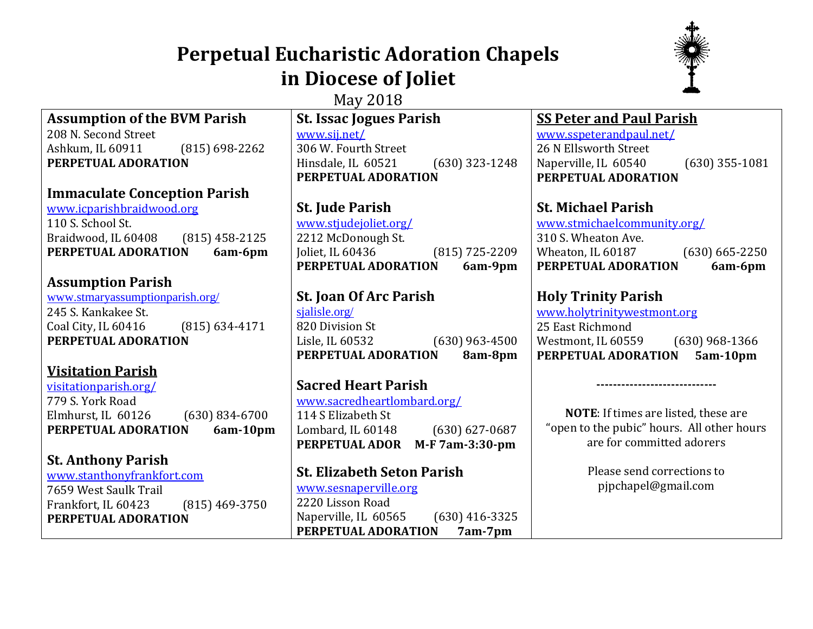# **Perpetual Eucharistic Adoration Chapels in Diocese of Joliet**



| May 2018                                  |                                          |                                            |
|-------------------------------------------|------------------------------------------|--------------------------------------------|
| <b>Assumption of the BVM Parish</b>       | <b>St. Issac Jogues Parish</b>           | <b>SS Peter and Paul Parish</b>            |
| 208 N. Second Street                      | www.sij.net/                             | www.sspeterandpaul.net/                    |
| $(815) 698 - 2262$<br>Ashkum, IL 60911    | 306 W. Fourth Street                     | 26 N Ellsworth Street                      |
| PERPETUAL ADORATION                       | $(630)$ 323-1248<br>Hinsdale, IL 60521   | Naperville, IL 60540<br>$(630)$ 355-1081   |
|                                           | PERPETUAL ADORATION                      | PERPETUAL ADORATION                        |
| <b>Immaculate Conception Parish</b>       |                                          |                                            |
| www.icparishbraidwood.org                 | <b>St. Jude Parish</b>                   | <b>St. Michael Parish</b>                  |
| 110 S. School St.                         | www.stjudejoliet.org/                    | www.stmichaelcommunity.org/                |
| $(815)$ 458-2125<br>Braidwood, IL 60408   | 2212 McDonough St.                       | 310 S. Wheaton Ave.                        |
| PERPETUAL ADORATION<br>6am-6pm            | $(815)$ 725-2209<br>Joliet, IL 60436     | Wheaton, IL 60187<br>$(630) 665 - 2250$    |
|                                           | PERPETUAL ADORATION<br>6am-9pm           | PERPETUAL ADORATION<br>6am-6pm             |
| <b>Assumption Parish</b>                  |                                          |                                            |
| www.stmaryassumptionparish.org/           | <b>St. Joan Of Arc Parish</b>            | <b>Holy Trinity Parish</b>                 |
| 245 S. Kankakee St.                       | sjalisle.org/                            | www.holytrinitywestmont.org                |
| Coal City, IL 60416<br>$(815) 634 - 4171$ | 820 Division St                          | 25 East Richmond                           |
| PERPETUAL ADORATION                       | Lisle, IL 60532<br>$(630)$ 963-4500      | Westmont, IL 60559<br>$(630)$ 968-1366     |
|                                           | PERPETUAL ADORATION<br>8am-8pm           | PERPETUAL ADORATION<br>5am-10pm            |
| <b>Visitation Parish</b>                  |                                          |                                            |
| visitationparish.org/                     | <b>Sacred Heart Parish</b>               |                                            |
| 779 S. York Road                          | www.sacredheartlombard.org/              |                                            |
| Elmhurst, IL 60126<br>$(630)$ 834-6700    | 114 S Elizabeth St                       | NOTE: If times are listed, these are       |
| PERPETUAL ADORATION<br>6am-10pm           | Lombard, IL 60148<br>$(630) 627 - 0687$  | "open to the pubic" hours. All other hours |
|                                           | M-F 7am-3:30-pm<br>PERPETUAL ADOR        | are for committed adorers                  |
| <b>St. Anthony Parish</b>                 |                                          |                                            |
| www.stanthonyfrankfort.com                | <b>St. Elizabeth Seton Parish</b>        | Please send corrections to                 |
| 7659 West Saulk Trail                     | www.sesnaperville.org                    | pjpchapel@gmail.com                        |
| Frankfort, IL 60423<br>$(815)$ 469-3750   | 2220 Lisson Road                         |                                            |
| PERPETUAL ADORATION                       | Naperville, IL 60565<br>$(630)$ 416-3325 |                                            |
|                                           | PERPETUAL ADORATION<br>7am-7pm           |                                            |